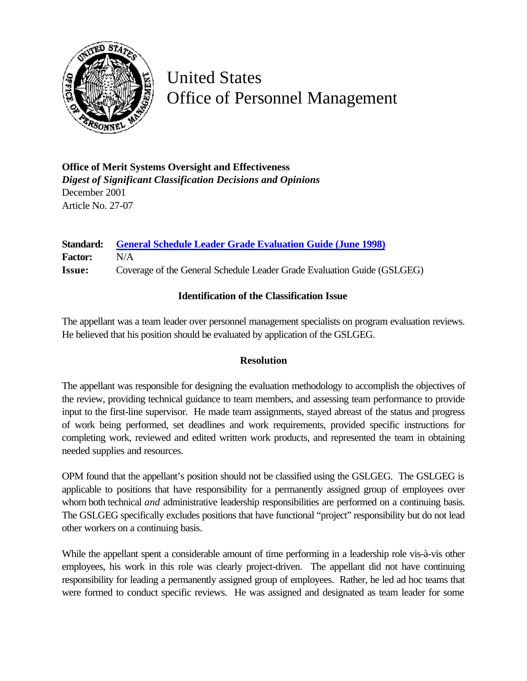

## United States Office of Personnel Management

**Office of Merit Systems Oversight and Effectiveness** *Digest of Significant Classification Decisions and Opinions* December 2001 Article No. 27-07

| <b>Standard:</b> | <b>General Schedule Leader Grade Evaluation Guide (June 1998)</b>       |
|------------------|-------------------------------------------------------------------------|
| <b>Factor:</b>   | N/A                                                                     |
| <b>Issue:</b>    | Coverage of the General Schedule Leader Grade Evaluation Guide (GSLGEG) |

## **Identification of the Classification Issue**

The appellant was a team leader over personnel management specialists on program evaluation reviews. He believed that his position should be evaluated by application of the GSLGEG.

## **Resolution**

The appellant was responsible for designing the evaluation methodology to accomplish the objectives of the review, providing technical guidance to team members, and assessing team performance to provide input to the first-line supervisor. He made team assignments, stayed abreast of the status and progress of work being performed, set deadlines and work requirements, provided specific instructions for completing work, reviewed and edited written work products, and represented the team in obtaining needed supplies and resources.

OPM found that the appellant's position should not be classified using the GSLGEG. The GSLGEG is applicable to positions that have responsibility for a permanently assigned group of employees over whom both technical *and* administrative leadership responsibilities are performed on a continuing basis. The GSLGEG specifically excludes positions that have functional "project" responsibility but do not lead other workers on a continuing basis.

While the appellant spent a considerable amount of time performing in a leadership role vis-à-vis other employees, his work in this role was clearly project-driven. The appellant did not have continuing responsibility for leading a permanently assigned group of employees. Rather, he led ad hoc teams that were formed to conduct specific reviews. He was assigned and designated as team leader for some